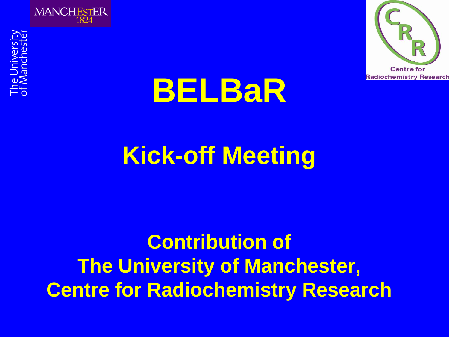



# **BELBaR**

## **Kick-off Meeting**

### **Contribution of The University of Manchester, Centre for Radiochemistry Research**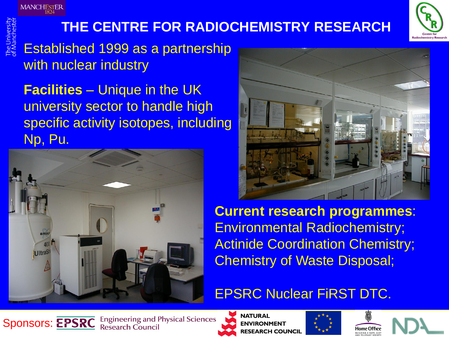#### **THE CENTRE FOR RADIOCHEMISTRY RESEARCH**



Established 1999 as a partnership with nuclear industry

**Facilities** – Unique in the UK university sector to handle high specific activity isotopes, including Np, Pu.





**Current research programmes**: Environmental Radiochemistry; **Actinide Coordination Chemistry;** Chemistry of Waste Disposal;

#### EPSRC Nuclear FiRST DTC.



**Engineering and Physical Sciences Research Council** 



**NATURAL JVIRONMENT RESEARCH COUNCIL** 



Home Offic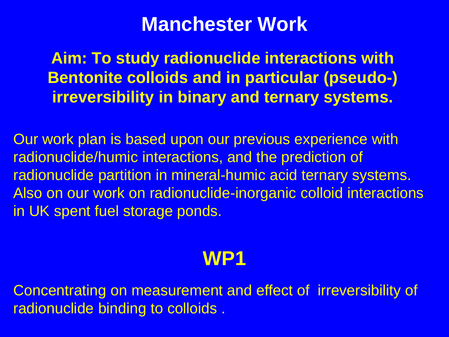#### **Manchester Work**

**Aim: To study radionuclide interactions with Bentonite colloids and in particular (pseudo-) irreversibility in binary and ternary systems.**

Our work plan is based upon our previous experience with radionuclide/humic interactions, and the prediction of radionuclide partition in mineral-humic acid ternary systems. Also on our work on radionuclide-inorganic colloid interactions in UK spent fuel storage ponds.

### **WP1**

Concentrating on measurement and effect of irreversibility of radionuclide binding to colloids .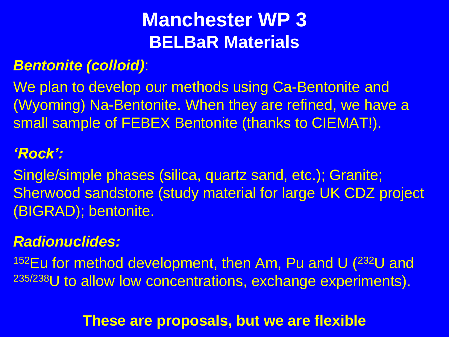### **Manchester WP 3 BELBaR Materials**

#### *Bentonite (colloid)*:

We plan to develop our methods using Ca-Bentonite and (Wyoming) Na-Bentonite. When they are refined, we have a small sample of FEBEX Bentonite (thanks to CIEMAT!).

#### *'Rock':*

Single/simple phases (silica, quartz sand, etc.); Granite; Sherwood sandstone (study material for large UK CDZ project (BIGRAD); bentonite.

#### *Radionuclides:*

<sup>152</sup>Eu for method development, then Am, Pu and U  $(^{232}U$  and 235/238U to allow low concentrations, exchange experiments).

#### **These are proposals, but we are flexible**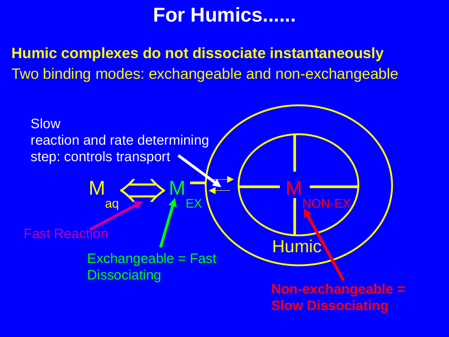### **For Humics......**

**Humic complexes do not dissociate instantaneously** Two binding modes: exchangeable and non-exchangeable

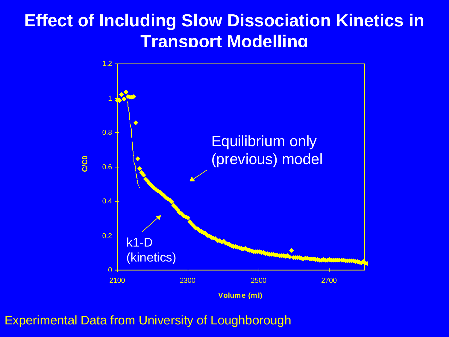#### **Effect of Including Slow Dissociation Kinetics in Transport Modelling**



Experimental Data from University of Loughborough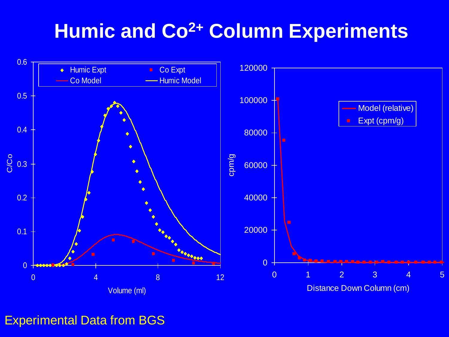### **Humic and Co2+ Column Experiments**



Experimental Data from BGS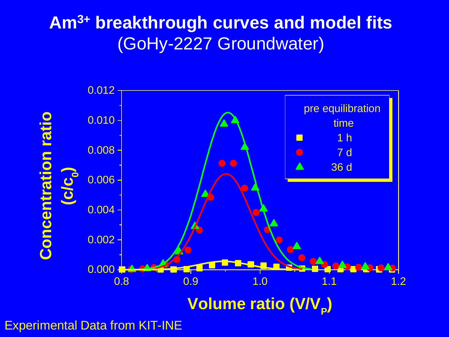#### **Am3+ breakthrough curves and model fits** (GoHy-2227 Groundwater)



Experimental Data from KIT-INE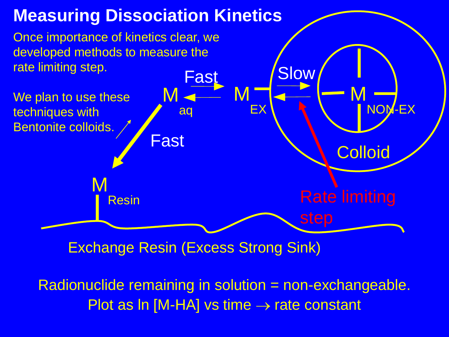

Radionuclide remaining in solution = non-exchangeable. Plot as  $\text{In } [M\text{-HA}]$  vs time  $\rightarrow$  rate constant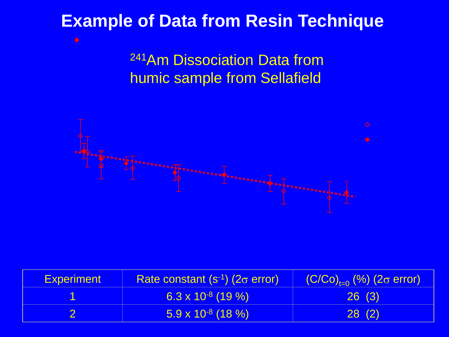#### **Example of Data from Resin Technique**

<sup>241</sup>Am Dissociation Data from humic sample from Sellafield



| <b>Experiment</b> | Rate constant $(s-1)$ (2 $\sigma$ error) | $(C/CO)_{t=0}$ (%) (2 $\sigma$ error) |
|-------------------|------------------------------------------|---------------------------------------|
|                   | $6.3 \times 10^{-8}$ (19 %)              | 26(3)                                 |
|                   | $\sqrt{5.9 \times 10^{3} (18 \%)}$       | 28(2)                                 |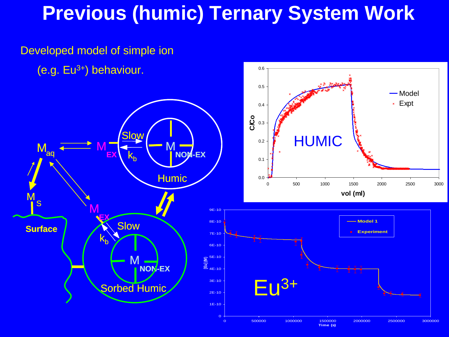### **Previous (humic) Ternary System Work**



Developed model of simple ion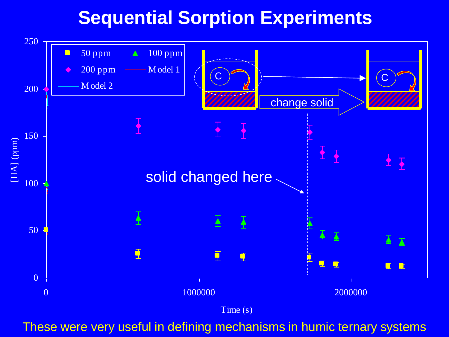#### **Sequential Sorption Experiments**



These were very useful in defining mechanisms in humic ternary systems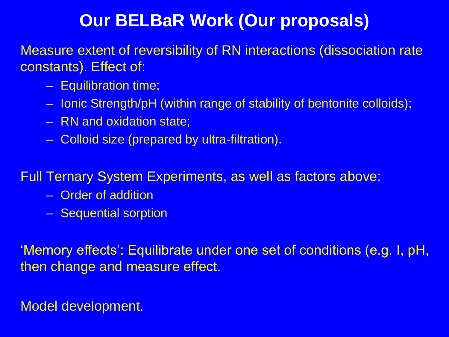#### **Our BELBaR Work (Our proposals)**

Measure extent of reversibility of RN interactions (dissociation rate constants). Effect of:

- Equilibration time;
- Ionic Strength/pH (within range of stability of bentonite colloids);
- RN and oxidation state;
- Colloid size (prepared by ultra-filtration).

Full Ternary System Experiments, as well as factors above:

- Order of addition
- Sequential sorption

'Memory effects': Equilibrate under one set of conditions (e.g. I, pH, then change and measure effect.

Model development.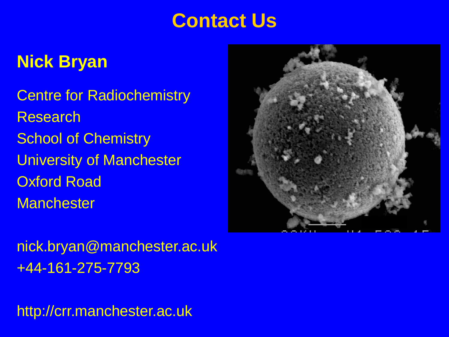### **Contact Us**

#### **Nick Bryan**

Centre for Radiochemistry Research School of Chemistry University of Manchester Oxford Road **Manchester** 



nick.bryan@manchester.ac.uk +44-161-275-7793

http://crr.manchester.ac.uk